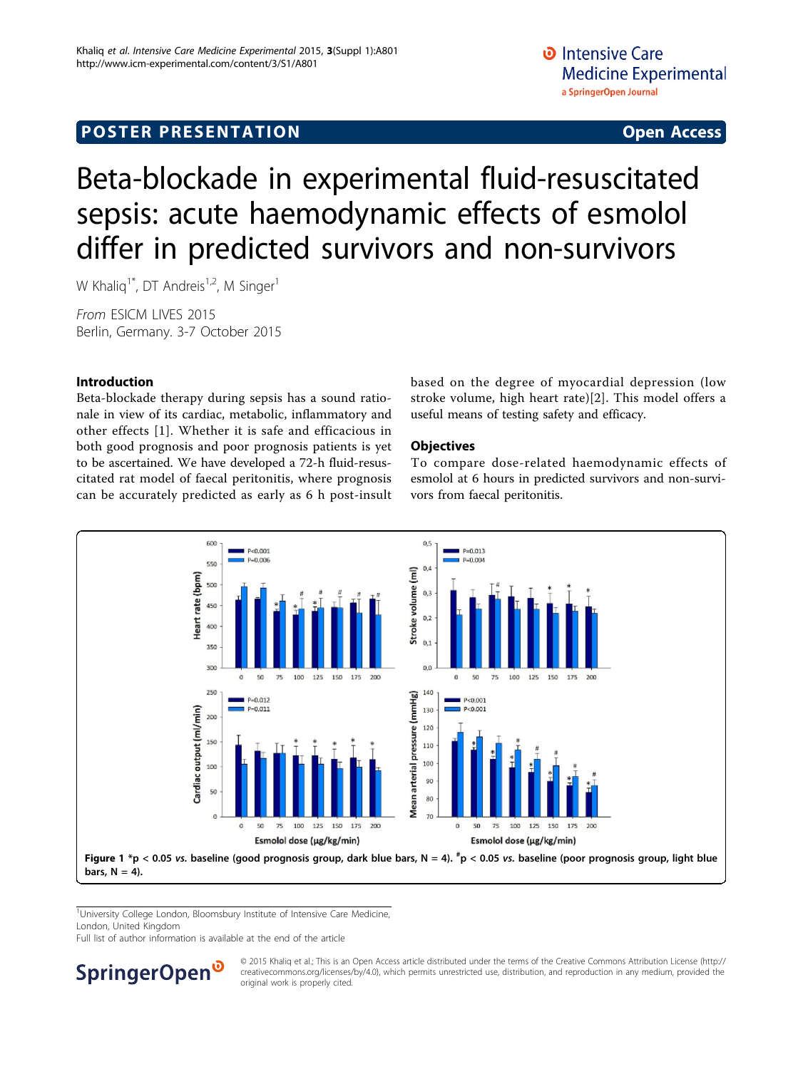# <span id="page-0-0"></span>**POSTER PRESENTATION CONSUMING ACCESS**

# Beta-blockade in experimental fluid-resuscitated sepsis: acute haemodynamic effects of esmolol differ in predicted survivors and non-survivors

W Khaliq<sup>1\*</sup>, DT Andreis<sup>1,2</sup>, M Singer<sup>1</sup>

From ESICM LIVES 2015 Berlin, Germany. 3-7 October 2015

# Introduction

Beta-blockade therapy during sepsis has a sound rationale in view of its cardiac, metabolic, inflammatory and other effects [[1\]](#page-1-0). Whether it is safe and efficacious in both good prognosis and poor prognosis patients is yet to be ascertained. We have developed a 72-h fluid-resuscitated rat model of faecal peritonitis, where prognosis can be accurately predicted as early as 6 h post-insult based on the degree of myocardial depression (low stroke volume, high heart rate)[[2](#page-1-0)]. This model offers a useful means of testing safety and efficacy.

## **Objectives**

To compare dose-related haemodynamic effects of esmolol at 6 hours in predicted survivors and non-survivors from faecal peritonitis.



<sup>1</sup>University College London, Bloomsbury Institute of Intensive Care Medicine, London, United Kingdom

Full list of author information is available at the end of the article

**SpringerOpen** 

© 2015 Khaliq et al.; This is an Open Access article distributed under the terms of the Creative Commons Attribution License [\(http://](http://creativecommons.org/licenses/by/4.0) [creativecommons.org/licenses/by/4.0](http://creativecommons.org/licenses/by/4.0)), which permits unrestricted use, distribution, and reproduction in any medium, provided the original work is properly cited.